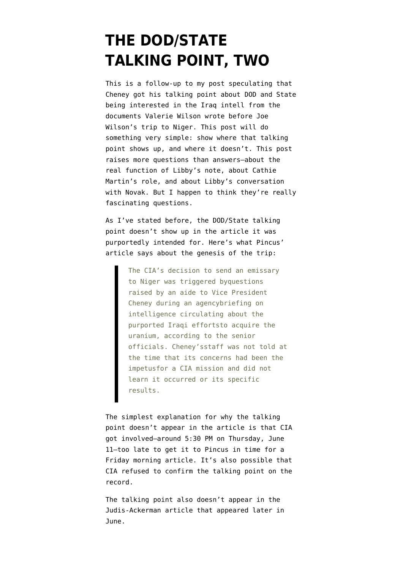## **[THE DOD/STATE](https://www.emptywheel.net/2007/07/17/the-dodstate-talking-point-two/) [TALKING POINT, TWO](https://www.emptywheel.net/2007/07/17/the-dodstate-talking-point-two/)**

This is a follow-up [to my post](http://thenexthurrah.typepad.com/the_next_hurrah/2007/07/the-state-and-d.html) speculating that Cheney got his talking point about DOD and State being interested in the Iraq intell from the documents Valerie Wilson wrote before Joe Wilson's trip to Niger. This post will do something very simple: show where that talking point shows up, and where it doesn't. This post raises more questions than answers–about the real function of Libby's note, about Cathie Martin's role, and about Libby's conversation with Novak. But I happen to think they're really fascinating questions.

As I've stated before, the DOD/State talking point doesn't show up in the article it was purportedly intended for. Here's what [Pincus'](http://www.washingtonpost.com/ac2/wp-dyn?pagename=article&contentId=A46957-2003Jun11¬Found=true) [article](http://www.washingtonpost.com/ac2/wp-dyn?pagename=article&contentId=A46957-2003Jun11¬Found=true) says about the genesis of the trip:

> The CIA's decision to send an emissary to Niger was triggered byquestions raised by an aide to Vice President Cheney during an agencybriefing on intelligence circulating about the purported Iraqi effortsto acquire the uranium, according to the senior officials. Cheney'sstaff was not told at the time that its concerns had been the impetusfor a CIA mission and did not learn it occurred or its specific results.

The simplest explanation for why the talking point doesn't appear in the article is that CIA got involved–around 5:30 PM on Thursday, June 11–too late to get it to Pincus in time for a Friday morning article. It's also possible that CIA refused to confirm the talking point on the record.

The talking point also doesn't appear in the [Judis-Ackerman article](http://www.tnr.com/doc.mhtml?i=20030630&s=ackermanjudis063003&c=3&pt=0cQNpJfYxhSff7JJVl4q9T%3D%3D) that appeared later in June.